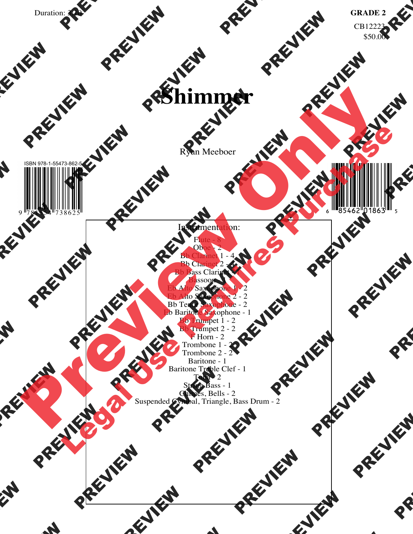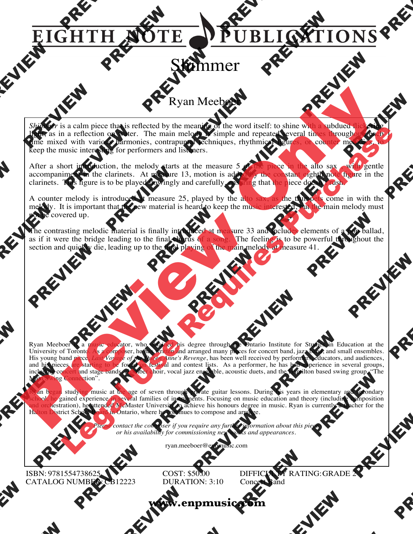## Shimmer

## Ryan Meeboer

*Shimmer* is a calm piece that is reflected by the meaning of the word itself: to shine with a subdued flickering light, as in a reflection on water. The main melody is simple and repeated several times throughout, each time mixed with various harmonies, contrapuntal techniques, rhythmical figures, or counter melodies, keep the music interesting for performers and listeners. **EIGHTH NOTE PREVIEW PREVIEW PREVIEW PREVIEW PREVIEW PREVIEW PREVIEW PREVIEW PREVIEW PREVIEW PREVIEW PREVIEW PREVIEW AND VALUE AND SURVEY SURVEYS ARE AND SURVEY SURVEYS AND SURVEY AND SURVEYS AND SURVEYS AND SURVEYS AND SU** 

After a short introduction, the melody starts at the measure 5 of the piece in the alto sax , with gentle accompaniment in the clarinets. At measure 13, motion is added by the constant eighth note figure in the clarinets. This figure is to be played flowingly and carefully, ensuring that the piece doesn't rush.

A counter melody is introduced at measure 25, played by the alto sax, as the trumpets come in with the melody. It is important that the new material is heard to keep the music interested, but the main melody must not be covered up.

The contrasting melodic material is finally introduced at measure 33 and includes elements of a pop ballad, as if it were the bridge leading to the final chorus of a song. The feeling is to be powerful throughout the as if it were the bridge leading to the final chorus of a section and quickly die, leading up to the final playing of the main melody at measure 41.

Ryan Meeboer is a music educator, who obtained his degree through the Ontario Institute for Studies in Education at the University of Toronto. As a composer, he has written and arranged many pieces for concert band, jazz band, and small ensembles. His young band piece, *Last Voyage of the Queen Anne's Revenge*, has been well received by performers, educators, and audiences, and his pieces are starting to be found on festival and contest lists. As a performer, he has had experience in several groups, including concert and stage bands, chamber choir, vocal jazz ensemble, acoustic duets, and the Hamilton based swing group, "The Main Swing Connection". Main Swing **EIGHTH NOTE Spin Scheme Contains and Scheme Contains and Scheme Contains and Scheme Contains a set of the contains of the same method is simple and a set of the same interesting for performers and isteness.<br>After a single EIGHTH NOTE PREVIEW PREVIEW SECOND CONTROL**<br>
Schinter as a collective state in the selective of the numerical of the second second the selective of the selective of the numerical preview of the selective of the selective EIGHTH NOTE<br>
Shimmer<br>
Shimmer<br>
Shimmer<br>
Shimmer<br>
Shimmer<br>
Shimmer<br>
Shimmer<br>
Shimmer<br>
Shimmer<br>
Shimmer<br>
Shimmer<br>
Shimmer<br>
Shimmer<br>
Shimmer<br>
Shimmer<br>
Shimmer<br>
Shimmer<br>
Shimmer<br>
Shimmer<br>
Shimmer<br>
Shimmer<br>
Shimmer<br>
Shimmer<br>
Sh EIGHTH NOTE<br>
Shimmer<br>
Ryan Meeber<br>
Review PREVIEW PREVIEW PREVIEW PREVIEW PREVIEW PREVIEW PREVIEW PREVIEW PREVIEW PREVIEW PREVIEW PREVIEW PREVIEW PREVIEW PREVIEW PREVIEW PREVIEW PREVIEW PREVIEW PREVIEW PREVIEW PREVIEW PREV PREVIEW PREVIEW DIE GENERALISTISCHE DER CHARGES VON DER EINER VEREIGENEN EINER EINER WARD EINER EINER WARD EINER EINER EINER EINER WARD ER EINER WARD EINER EINER EINER EINER EINER EINER EINER EINER EINER EINER EINER EINER Shimmer<br>
PREVIEW PREVIEW PREVIEW PREVIEW PREVIEW PREVIEW PREVIEW PREVIEW PREVIEW PREVIEW PREVIEW PREVIEW PREVIEW PREVIEW PREVIEW PREVIEW PREVIEW PREVIEW PREVIEW PREVIEW PREVIEW PREVIEW PREVIEW PREVIEW PREVIEW PREVIEW PREVI These This figure is to be played from the space of the second by the second the correction of the correction of the second the second the second the correction of the second the second the second the correction of the sec In various harmonics, controllar the business and listeness. The particular of the measure 13, motion is well as the measure of a particular particular the measure of a particular particular in the measure of a particular More, who obtain the degree through price Concilient in Contain the Control of the Concentrum of the Concentrum Concentrum Concentrum Concentrum Concentrum Concentrum Concentrum Concentrum Concentrum Concentrum Concentrum Ily introduce **Farmer and Franchiston** (The feeling **C** to be powerful throughout the final elements of a pop ballad, and manifele of the reduction of the scheme of the principal method and manifeles in Fidencia in Reducti Ryan Meeboor<br>
Shimmer is a calm piece that is reflected by the meaning of the word itself to shime<br>
This is an a selection on water. The main melody is simple and repeated ascending<br>
there about interesting in prefirements a calin procedure that sends the meaning of the Wood distinct to small the control of the meaning of the measure of the measure of the measure of the measure of the measure of the measure of the measure of the measure of t

Ryan began studying music at the age of seven through private guitar lessons. During his years in elementary and secondary school, he gained experience in several families of instruments. Focusing on music education and theory (including composition and orchestration), he attended McMaster University to achieve his honours degree in music. Ryan is currently a teacher for the Halton District School Board in Ontario, where he continues to compose and arrange.

> *P* contact the composer if you require any further information about this piece *or his availability for commissioning new works and appearances.*

> > ryan.meeboer@enpmusic.com

ISBN: 9781554738625 CATALOG NUMBER: CB12223 COST: \$50.00 DURATION: 3:10 DIFFICULTY RATING:GRADE 2 Concert Band

## **www.enpmusic.com**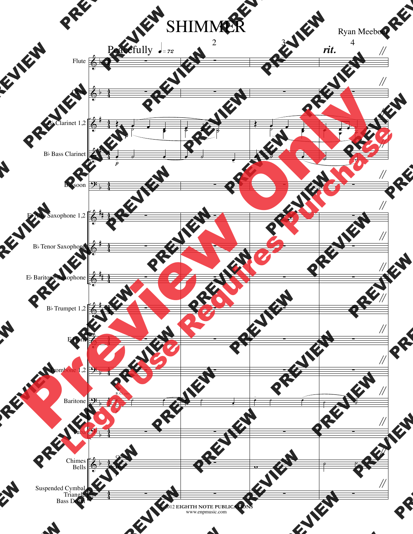

© 2012 **EIGHTH NOTE PUBLICATIONS** www.enpmusic.com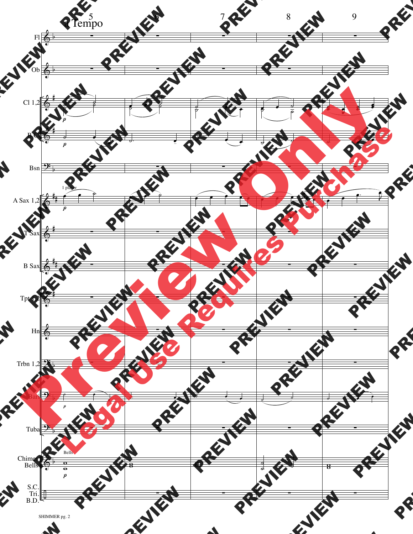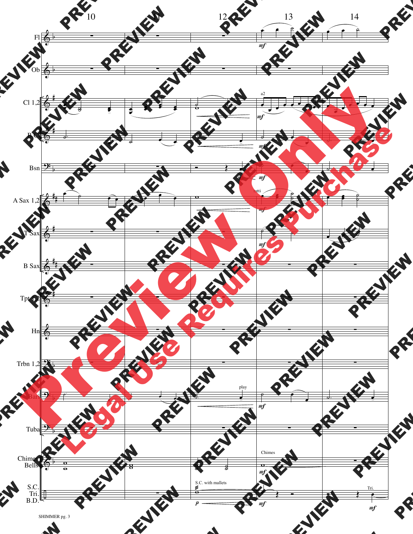

SHIMMER pg. 3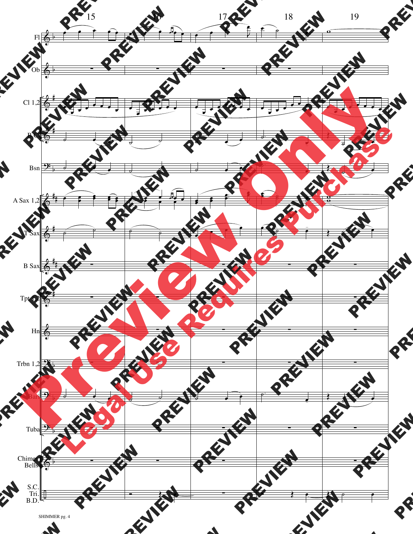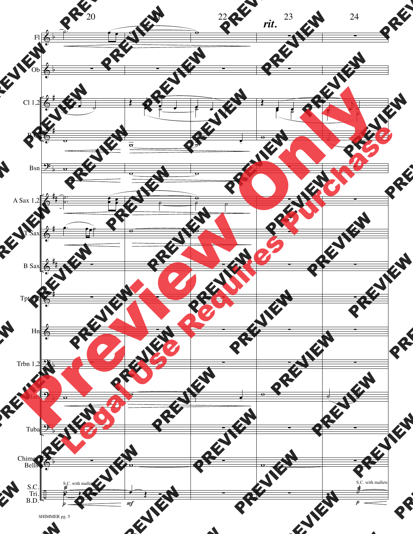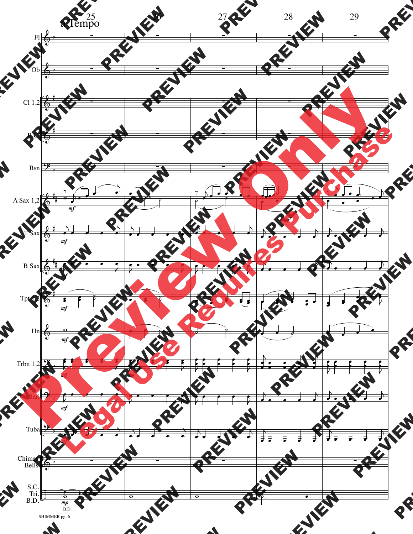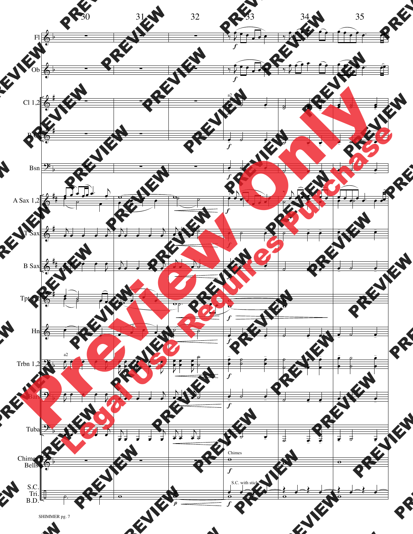

SHIMMER pg. 7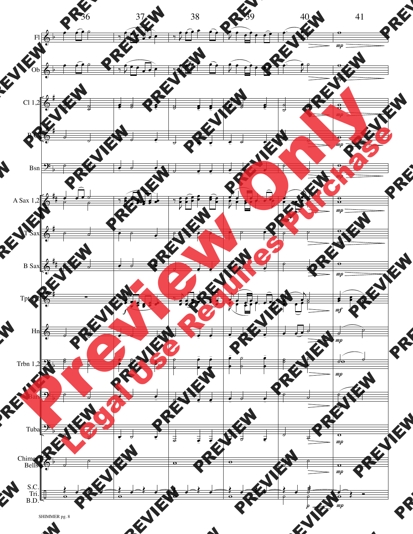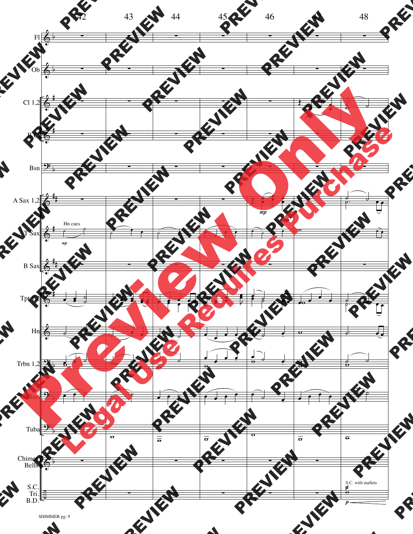